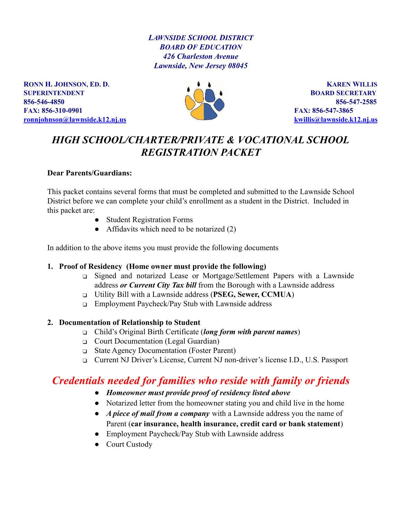**RONN H. JOHNSON, ED. D. KAREN WILLIS SUPERINTENDENT BOARD BOARD BOARD BOARD BOARD BOARD BOARD BOARD BOARD 856-546-4850 856-547-2585 FAX: 856-310-0901 FAX: 856-547-3865 [ronnjohnson@lawnside.k12.nj.us](mailto:ronnjohnson@lawnside.k12.nj.us) kwillis@lawnside.k12.nj.us** 



# *HIGH SCHOOL/CHARTER/PRIVATE & VOCATIONAL SCHOOL REGISTRATION PACKET*

### **Dear Parents/Guardians:**

This packet contains several forms that must be completed and submitted to the Lawnside School District before we can complete your child's enrollment as a student in the District. Included in this packet are:

- Student Registration Forms
- Affidavits which need to be notarized  $(2)$

In addition to the above items you must provide the following documents

### **1. Proof of Residency (Home owner must provide the following)**

- ❑ Signed and notarized Lease or Mortgage/Settlement Papers with a Lawnside address *or Current City Tax bill* from the Borough with a Lawnside address
- ❑ Utility Bill with a Lawnside address (**PSEG, Sewer, CCMUA**)
- ❑ Employment Paycheck/Pay Stub with Lawnside address

### **2. Documentation of Relationship to Student**

- ❑ Child's Original Birth Certificate (*long form with parent names*)
- ❑ Court Documentation (Legal Guardian)
- ❑ State Agency Documentation (Foster Parent)
- ❑ Current NJ Driver's License, Current NJ non-driver's license I.D., U.S. Passport

# *Credentials needed for families who reside with family or friends*

- *● Homeowner must provide proof of residency listed above*
- Notarized letter from the homeowner stating you and child live in the home
- *● A piece of mail from a company* with a Lawnside address you the name of Parent (**car insurance, health insurance, credit card or bank statement**)
- *●* Employment Paycheck/Pay Stub with Lawnside address
- *●* Court Custody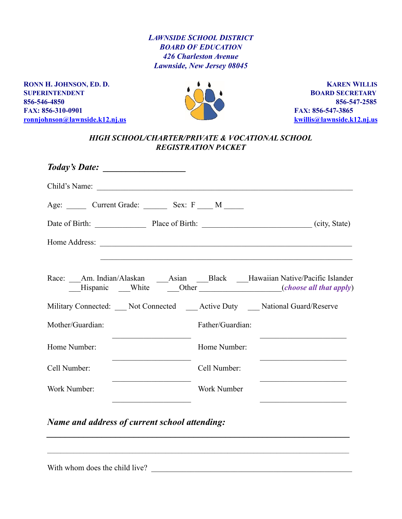**RONN <b>H.** JOHNSON, ED. D. **A BOARD BOARD BOARD BOARD BOARD BOARD BOARD BOARD BOARD BOARD BOARD BOARD BOARD BOARD BOARD BOARD BOARD BOARD BOARD BOARD BOARD BOARD BOARD BOARD BOARD BOARD BOARD BOARD 856-546-4850 856-547-2585 FAX: 856-310-0901 FAX: 856-547-3865 [ronnjohnson@lawnside.k12.nj.us](mailto:ronnjohnson@lawnside.k12.nj.us) kwillis@lawnside.k12.nj.us** 



## *HIGH SCHOOL/CHARTER/PRIVATE & VOCATIONAL SCHOOL REGISTRATION PACKET*

| Child's Name:                                 |                                                                                                                                                                                                                                     |
|-----------------------------------------------|-------------------------------------------------------------------------------------------------------------------------------------------------------------------------------------------------------------------------------------|
| Age: Current Grade: Sex: F ____ M ____        |                                                                                                                                                                                                                                     |
|                                               | Date of Birth: Place of Birth: (city, State)                                                                                                                                                                                        |
|                                               | Home Address: <u>and the Address of</u> the Address of the Address of the Address of the Address of the Address of the Address of the Address of the Address of the Address of the Address of the Address of the Address of the Add |
|                                               |                                                                                                                                                                                                                                     |
|                                               | Race: Am. Indian/Alaskan Asian Black Hawaiian Native/Pacific Islander<br>__Hispanic ___White ______Other ___________________(choose all that apply)                                                                                 |
|                                               | Military Connected: ___ Not Connected ____ Active Duty ____ National Guard/Reserve                                                                                                                                                  |
| Mother/Guardian:                              | Father/Guardian:                                                                                                                                                                                                                    |
| Home Number:                                  | Home Number:                                                                                                                                                                                                                        |
| Cell Number:                                  | Cell Number:                                                                                                                                                                                                                        |
| Work Number:                                  | <b>Work Number</b>                                                                                                                                                                                                                  |
| Name and address of current school attending: |                                                                                                                                                                                                                                     |

With whom does the child live?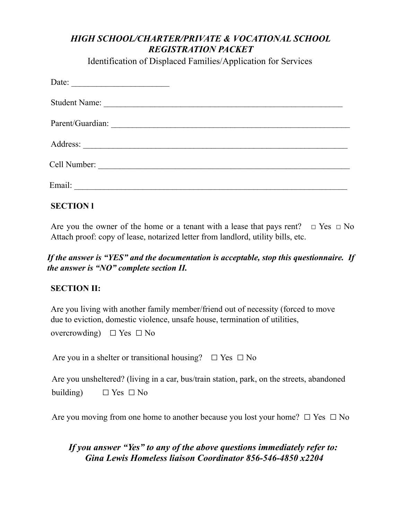# *HIGH SCHOOL/CHARTER/PRIVATE & VOCATIONAL SCHOOL REGISTRATION PACKET*

Identification of Displaced Families/Application for Services

| Date:                |  |
|----------------------|--|
| <b>Student Name:</b> |  |
| Parent/Guardian:     |  |
|                      |  |
| Cell Number:         |  |
| Email:               |  |

# **SECTION l**

Are you the owner of the home or a tenant with a lease that pays rent?  $\Box$  Yes  $\Box$  No Attach proof: copy of lease, notarized letter from landlord, utility bills, etc.

*If the answer is "YES" and the documentation is acceptable, stop this questionnaire. If the answer is "NO" complete section II.*

## **SECTION II:**

Are you living with another family member/friend out of necessity (forced to move due to eviction, domestic violence, unsafe house, termination of utilities,

overcrowding)  $\Box$  Yes  $\Box$  No

Are you in a shelter or transitional housing?  $\Box$  Yes  $\Box$  No

Are you unsheltered? (living in a car, bus/train station, park, on the streets, abandoned building)  $\Box$  Yes  $\Box$  No

Are you moving from one home to another because you lost your home?  $\Box$  Yes  $\Box$  No

# *If you answer "Yes" to any of the above questions immediately refer to: Gina Lewis Homeless liaison Coordinator 856-546-4850 x2204*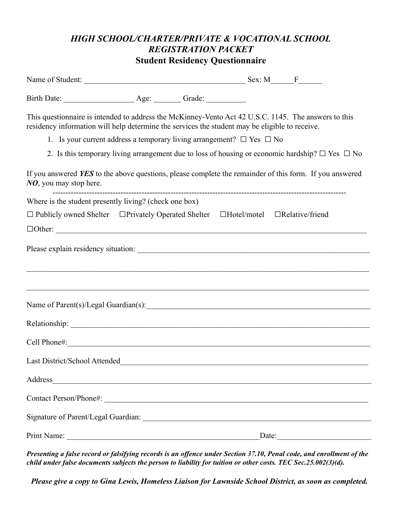# *HIGH SCHOOL/CHARTER/PRIVATE & VOCATIONAL SCHOOL REGISTRATION PACKET* **Student Residency Questionnaire**

| This questionnaire is intended to address the McKinney-Vento Act 42 U.S.C. 1145. The answers to this<br>residency information will help determine the services the student may be eligible to receive. |  |  |  |                |  |
|--------------------------------------------------------------------------------------------------------------------------------------------------------------------------------------------------------|--|--|--|----------------|--|
| 1. Is your current address a temporary living arrangement? $\Box$ Yes $\Box$ No                                                                                                                        |  |  |  |                |  |
| 2. Is this temporary living arrangement due to loss of housing or economic hardship? $\Box$ Yes $\Box$ No                                                                                              |  |  |  |                |  |
| If you answered YES to the above questions, please complete the remainder of this form. If you answered<br><i>NO</i> , you may stop here.                                                              |  |  |  |                |  |
| Where is the student presently living? (check one box)                                                                                                                                                 |  |  |  |                |  |
| $\Box$ Publicly owned Shelter $\Box$ Privately Operated Shelter $\Box$ Hotel/motel $\Box$ Relative/friend                                                                                              |  |  |  |                |  |
|                                                                                                                                                                                                        |  |  |  |                |  |
|                                                                                                                                                                                                        |  |  |  |                |  |
|                                                                                                                                                                                                        |  |  |  |                |  |
|                                                                                                                                                                                                        |  |  |  |                |  |
|                                                                                                                                                                                                        |  |  |  |                |  |
|                                                                                                                                                                                                        |  |  |  |                |  |
| Last District/School Attended                                                                                                                                                                          |  |  |  |                |  |
| Address                                                                                                                                                                                                |  |  |  |                |  |
|                                                                                                                                                                                                        |  |  |  |                |  |
|                                                                                                                                                                                                        |  |  |  |                |  |
|                                                                                                                                                                                                        |  |  |  | $\text{Date:}$ |  |

Presenting a false record or falsifying records is an offence under Section 37.10, Penal code, and enrollment of the *child under false documents subjects the person to liability for tuition or other costs. TEC Sec.25.002(3)(d).*

*Please give a copy to Gina Lewis, Homeless Liaison for Lawnside School District, as soon as completed.*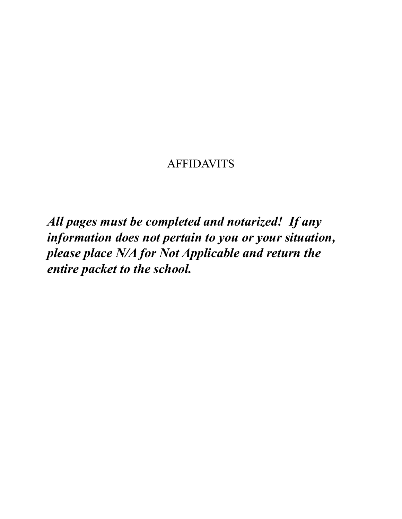# AFFIDAVITS

*All pages must be completed and notarized! If any information does not pertain to you or your situation, please place N/A for Not Applicable and return the entire packet to the school.*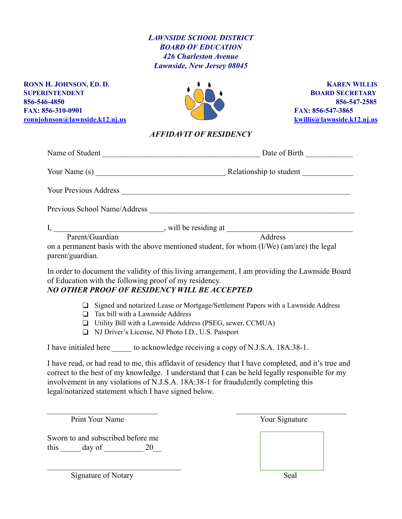**RONN H. JOHNSON, ED. D. KAREN WILLIS SUPERINTENDENT BOARD BOARD BOARD BOARD BOARD BOARD BOARD BOARD BOARD 856-546-4850 856-547-2585 FAX: 856-310-0901 FAX: 856-547-3865 [ronnjohnson@lawnside.k12.nj.us](mailto:ronnjohnson@lawnside.k12.nj.us) kwillis@lawnside.k12.nj.us** 



## *AFFIDAVIT OF RESIDENCY*

| Name of Student<br>Date of Birth                                                                                                                                                                                                                                                                                                                                                                          |  |  |
|-----------------------------------------------------------------------------------------------------------------------------------------------------------------------------------------------------------------------------------------------------------------------------------------------------------------------------------------------------------------------------------------------------------|--|--|
| Your Name (s) $\qquad \qquad$ $\qquad \qquad$ $\qquad \qquad$ $\qquad \qquad$ $\qquad \qquad$ $\qquad \qquad$ $\qquad \qquad$ $\qquad \qquad$ $\qquad \qquad$ $\qquad \qquad$ $\qquad \qquad$ $\qquad \qquad$ $\qquad \qquad$ $\qquad \qquad$ $\qquad \qquad$ $\qquad$ $\qquad \qquad$ $\qquad \qquad$ $\qquad$ $\qquad$ $\qquad$ $\qquad$ $\qquad$ $\qquad$ $\qquad$ $\qquad$<br>Relationship to student |  |  |
| Your Previous Address                                                                                                                                                                                                                                                                                                                                                                                     |  |  |
| Previous School Name/Address 2008                                                                                                                                                                                                                                                                                                                                                                         |  |  |
| $I, \underline{\hspace{2cm}}$ will be residing at $\underline{\hspace{2cm}}$                                                                                                                                                                                                                                                                                                                              |  |  |
| Address                                                                                                                                                                                                                                                                                                                                                                                                   |  |  |
| on a permanent basis with the above mentioned student, for whom (I/We) (am/are) the legal                                                                                                                                                                                                                                                                                                                 |  |  |
|                                                                                                                                                                                                                                                                                                                                                                                                           |  |  |

In order to document the validity of this living arrangement, I am providing the Lawnside Board of Education with the following proof of my residency.

## *NO OTHER PROOF OF RESIDENCY WILL BE ACCEPTED*

- ❑ Signed and notarized Lease or Mortgage/Settlement Papers with a Lawnside Address
- ❑ Tax bill with a Lawnside Address
- ❑ Utility Bill with a Lawnside Address (PSEG, sewer, CCMUA)
- ❑ NJ Driver's License, NJ Photo I.D., U.S. Passport

I have initialed here to acknowledge receiving a copy of N.J.S.A. 18A:38-1.

I have read, or had read to me, this affidavit of residency that I have completed, and it's true and correct to the best of my knowledge. I understand that I can be held legally responsible for my involvement in any violations of N.J.S.A. 18A:38-1 for fraudulently completing this legal/notarized statement which I have signed below.

 $\mathcal{L}_\text{max}$  and the contract of the contract of the contract of the contract of the contract of the contract of the contract of the contract of the contract of the contract of the contract of the contract of the contrac

Print Your Name Your Signature

Sworn to and subscribed before me this day of  $\frac{20}{\sqrt{25}}$ 



Signature of Notary Seal

 $\mathcal{L}_\text{max}$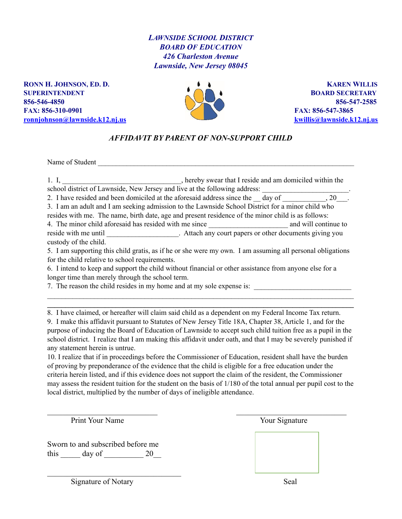**RONN H. JOHNSON, ED. D. KAREN WILLIS SUPERINTENDENT BOARD BOARD BOARD BOARD BOARD BOARD BOARD BOARD 856-546-4850 856-547-2585 FAX: 856-310-0901 FAX: 856-547-3865 [ronnjohnson@lawnside.k12.nj.us](mailto:ronnjohnson@lawnside.k12.nj.us) kwillis@lawnside.k12.nj.us**



### *AFFIDAVIT BY PARENT OF NON-SUPPORT CHILD*

Name of Student **Later and Student** 1. I, hereby swear that I reside and am domiciled within the school district of Lawnside, New Jersey and live at the following address: 2. I have resided and been domiciled at the aforesaid address since the \_\_ day of \_\_\_\_\_\_\_\_\_\_\_\_\_\_\_\_, 20\_ 3. I am an adult and I am seeking admission to the Lawnside School District for a minor child who resides with me. The name, birth date, age and present residence of the minor child is as follows: 4. The minor child aforesaid has resided with me since and will continue to reside with me until \_\_\_\_\_\_\_\_\_\_\_\_\_\_\_\_\_\_. Attach any court papers or other documents giving you custody of the child. 5. I am supporting this child gratis, as if he or she were my own. I am assuming all personal obligations for the child relative to school requirements. 6. I intend to keep and support the child without financial or other assistance from anyone else for a longer time than merely through the school term. 7. The reason the child resides in my home and at my sole expense is:  $\mathcal{L}_\text{max} = \mathcal{L}_\text{max} = \mathcal{L}_\text{max} = \mathcal{L}_\text{max} = \mathcal{L}_\text{max} = \mathcal{L}_\text{max} = \mathcal{L}_\text{max} = \mathcal{L}_\text{max} = \mathcal{L}_\text{max} = \mathcal{L}_\text{max} = \mathcal{L}_\text{max} = \mathcal{L}_\text{max} = \mathcal{L}_\text{max} = \mathcal{L}_\text{max} = \mathcal{L}_\text{max} = \mathcal{L}_\text{max} = \mathcal{L}_\text{max} = \mathcal{L}_\text{max} = \mathcal{$ 

8. I have claimed, or hereafter will claim said child as a dependent on my Federal Income Tax return.

**\_\_\_\_\_\_\_\_\_\_\_\_\_\_\_\_\_\_\_\_\_\_\_\_\_\_\_\_\_\_\_\_\_\_\_\_\_\_\_\_\_\_\_\_\_\_\_\_\_\_\_\_\_\_\_\_\_\_\_\_\_\_\_\_\_\_\_\_\_\_\_\_\_\_\_\_\_\_\_\_\_\_\_\_\_**

9. I make this affidavit pursuant to Statutes of New Jersey Title 18A, Chapter 38, Article 1, and for the purpose of inducing the Board of Education of Lawnside to accept such child tuition free as a pupil in the school district. I realize that I am making this affidavit under oath, and that I may be severely punished if any statement herein is untrue.

10. I realize that if in proceedings before the Commissioner of Education, resident shall have the burden of proving by preponderance of the evidence that the child is eligible for a free education under the criteria herein listed, and if this evidence does not support the claim of the resident, the Commissioner may assess the resident tuition for the student on the basis of 1/180 of the total annual per pupil cost to the local district, multiplied by the number of days of ineligible attendance.

 $\mathcal{L}_\text{max}$  and the contract of the contract of the contract of the contract of the contract of the contract of the contract of the contract of the contract of the contract of the contract of the contract of the contrac

Print Your Name Your Signature

Sworn to and subscribed before me this  $\qquad \qquad$  day of  $\qquad \qquad$  20

Signature of Notary Seal

 $\mathcal{L}_\text{max}$